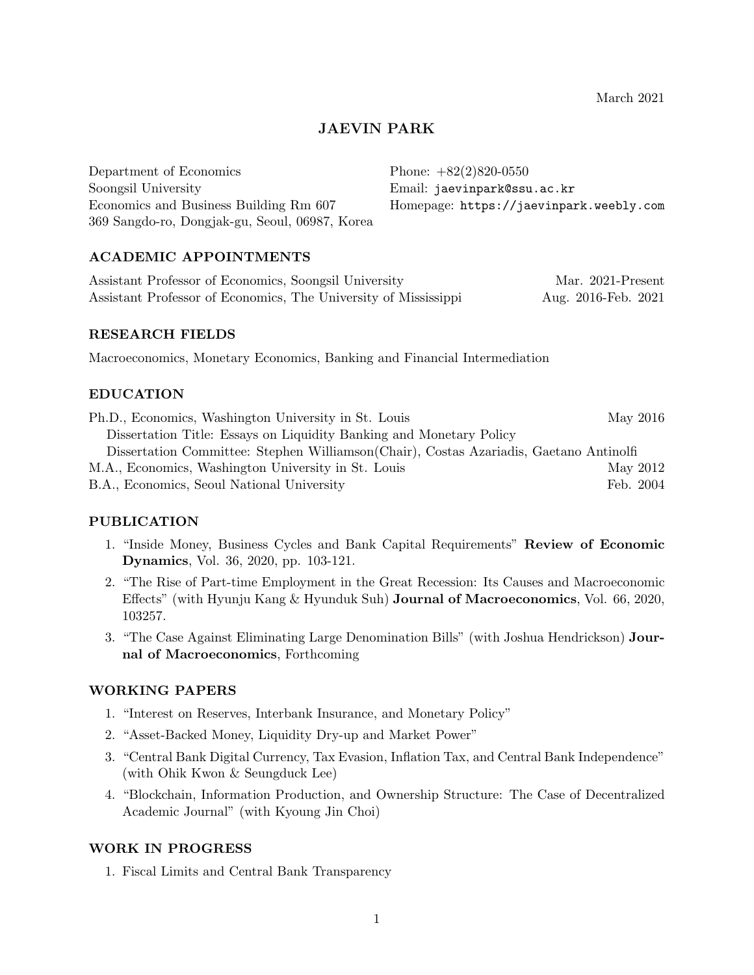March 2021

# JAEVIN PARK

Department of Economics Soongsil University Economics and Business Building Rm 607 369 Sangdo-ro, Dongjak-gu, Seoul, 06987, Korea Phone: +82(2)820-0550 Email: jaevinpark@ssu.ac.kr Homepage: https://jaevinpark.weebly.com

# ACADEMIC APPOINTMENTS

| Assistant Professor of Economics, Soongsil University           | Mar. 2021-Present   |
|-----------------------------------------------------------------|---------------------|
| Assistant Professor of Economics, The University of Mississippi | Aug. 2016-Feb. 2021 |

### RESEARCH FIELDS

Macroeconomics, Monetary Economics, Banking and Financial Intermediation

# EDUCATION

| Ph.D., Economics, Washington University in St. Louis                                    | May 2016  |
|-----------------------------------------------------------------------------------------|-----------|
| Dissertation Title: Essays on Liquidity Banking and Monetary Policy                     |           |
| Dissertation Committee: Stephen Williamson (Chair), Costas Azariadis, Gaetano Antinolfi |           |
| M.A., Economics, Washington University in St. Louis                                     | May 2012  |
| B.A., Economics, Seoul National University                                              | Feb. 2004 |

# PUBLICATION

- 1. "Inside Money, Business Cycles and Bank Capital Requirements" Review of Economic Dynamics, Vol. 36, 2020, pp. 103-121.
- 2. "The Rise of Part-time Employment in the Great Recession: Its Causes and Macroeconomic Effects" (with Hyunju Kang & Hyunduk Suh) Journal of Macroeconomics, Vol. 66, 2020, 103257.
- 3. "The Case Against Eliminating Large Denomination Bills" (with Joshua Hendrickson) Journal of Macroeconomics, Forthcoming

# WORKING PAPERS

- 1. "Interest on Reserves, Interbank Insurance, and Monetary Policy"
- 2. "Asset-Backed Money, Liquidity Dry-up and Market Power"
- 3. "Central Bank Digital Currency, Tax Evasion, Inflation Tax, and Central Bank Independence" (with Ohik Kwon & Seungduck Lee)
- 4. "Blockchain, Information Production, and Ownership Structure: The Case of Decentralized Academic Journal" (with Kyoung Jin Choi)

#### WORK IN PROGRESS

1. Fiscal Limits and Central Bank Transparency